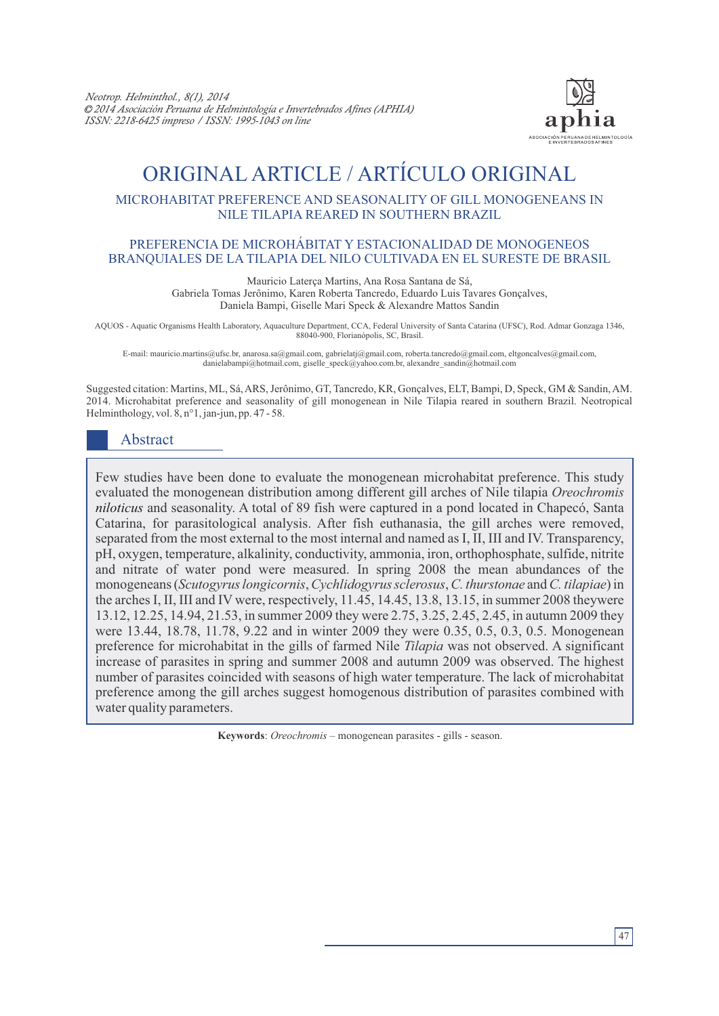

# ORIGINAL ARTICLE / ARTÍCULO ORIGINAL

## MICROHABITAT PREFERENCE AND SEASONALITY OF GILL MONOGENEANS IN NILE TILAPIA REARED IN SOUTHERN BRAZIL

#### PREFERENCIA DE MICROHÁBITAT Y ESTACIONALIDAD DE MONOGENEOS BRANQUIALES DE LA TILAPIA DEL NILO CULTIVADA EN EL SURESTE DE BRASIL

Mauricio Laterça Martins, Ana Rosa Santana de Sá,

Gabriela Tomas Jerônimo, Karen Roberta Tancredo, Eduardo Luis Tavares Gonçalves, Daniela Bampi, Giselle Mari Speck & Alexandre Mattos Sandin

AQUOS - Aquatic Organisms Health Laboratory, Aquaculture Department, CCA, Federal University of Santa Catarina (UFSC), Rod. Admar Gonzaga 1346, 88040-900, Florianópolis, SC, Brasil.

E-mail: mauricio.martins@ufsc.br, anarosa.sa@gmail.com, gabrielatj@gmail.com, roberta.tancredo@gmail.com, eltgoncalves@gmail.com, danielabampi@hotmail.com, giselle\_speck@yahoo.com.br, alexandre\_sandin@hotmail.com

Suggested citation: Martins, ML, Sá, ARS, Jerônimo, GT, Tancredo, KR, Gonçalves, ELT, Bampi, D, Speck, GM & Sandin, AM. 2014. Microhabitat preference and seasonality of gill monogenean in Nile Tilapia reared in southern Brazil. Neotropical Helminthology, vol. 8, n°1, jan-jun, pp. 47 - 58.

# Abstract

Few studies have been done to evaluate the monogenean microhabitat preference. This study evaluated the monogenean distribution among different gill arches of Nile tilapia *Oreochromis niloticus* and seasonality. A total of 89 fish were captured in a pond located in Chapecó, Santa Catarina, for parasitological analysis. After fish euthanasia, the gill arches were removed, separated from the most external to the most internal and named as I, II, III and IV. Transparency, pH, oxygen, temperature, alkalinity, conductivity, ammonia, iron, orthophosphate, sulfide, nitrite and nitrate of water pond were measured. In spring 2008 the mean abundances of the monogeneans (*Scutogyrus longicornis*, *Cychlidogyrussclerosus*, *C. thurstonae* and *C. tilapiae*) in the arches I, II, III and IV were, respectively, 11.45, 14.45, 13.8, 13.15, in summer 2008 theywere 13.12, 12.25, 14.94, 21.53, in summer 2009 they were 2.75, 3.25, 2.45, 2.45, in autumn 2009 they were 13.44, 18.78, 11.78, 9.22 and in winter 2009 they were 0.35, 0.5, 0.3, 0.5. Monogenean preference for microhabitat in the gills of farmed Nile *Tilapia* was not observed. A significant increase of parasites in spring and summer 2008 and autumn 2009 was observed. The highest number of parasites coincided with seasons of high water temperature. The lack of microhabitat preference among the gill arches suggest homogenous distribution of parasites combined with water quality parameters.

**Keywords**: *Oreochromis* – monogenean parasites - gills - season.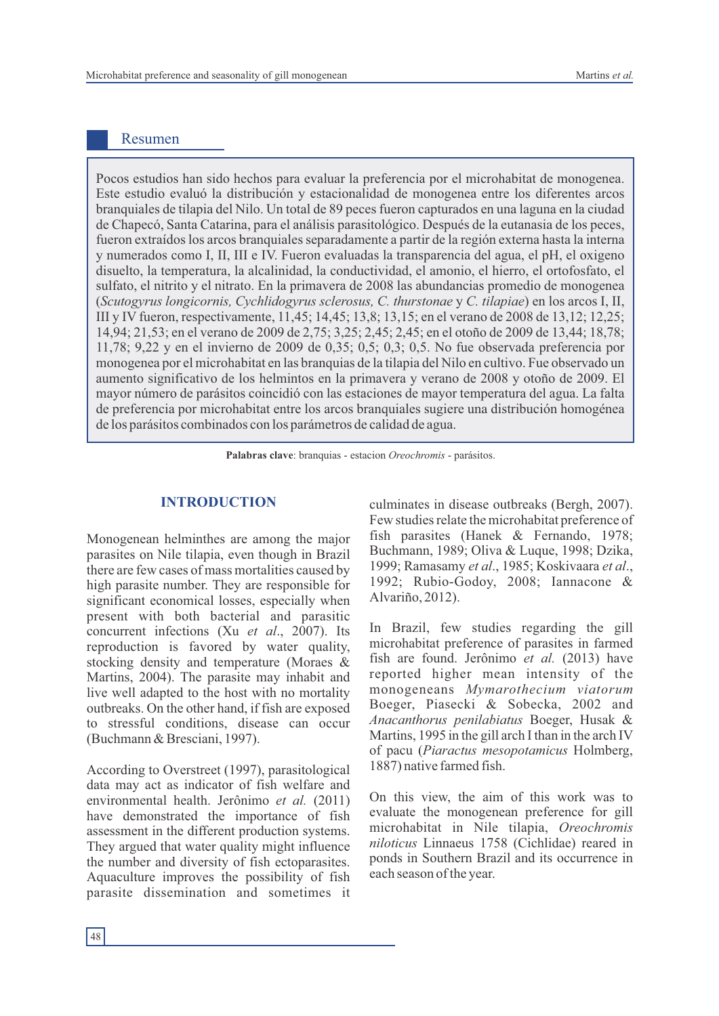# Resumen

Pocos estudios han sido hechos para evaluar la preferencia por el microhabitat de monogenea. Este estudio evaluó la distribución y estacionalidad de monogenea entre los diferentes arcos branquiales de tilapia del Nilo. Un total de 89 peces fueron capturados en una laguna en la ciudad de Chapecó, Santa Catarina, para el análisis parasitológico. Después de la eutanasia de los peces, fueron extraídos los arcos branquiales separadamente a partir de la región externa hasta la interna y numerados como I, II, III e IV. Fueron evaluadas la transparencia del agua, el pH, el oxigeno disuelto, la temperatura, la alcalinidad, la conductividad, el amonio, el hierro, el ortofosfato, el sulfato, el nitrito y el nitrato. En la primavera de 2008 las abundancias promedio de monogenea (*Scutogyrus longicornis, Cychlidogyrus sclerosus, C. thurstonae* y *C. tilapiae*) en los arcos I, II, III y IV fueron, respectivamente, 11,45; 14,45; 13,8; 13,15; en el verano de 2008 de 13,12; 12,25; 14,94; 21,53; en el verano de 2009 de 2,75; 3,25; 2,45; 2,45; en el otoño de 2009 de 13,44; 18,78; 11,78; 9,22 y en el invierno de 2009 de 0,35; 0,5; 0,3; 0,5. No fue observada preferencia por monogenea por el microhabitat en las branquias de la tilapia del Nilo en cultivo. Fue observado un aumento significativo de los helmintos en la primavera y verano de 2008 y otoño de 2009. El mayor número de parásitos coincidió con las estaciones de mayor temperatura del agua. La falta de preferencia por microhabitat entre los arcos branquiales sugiere una distribución homogénea de los parásitos combinados con los parámetros de calidad de agua.

**Palabras clave**: branquias - estacion *Oreochromis* - parásitos.

# **INTRODUCTION**

Monogenean helminthes are among the major parasites on Nile tilapia, even though in Brazil there are few cases of mass mortalities caused by high parasite number. They are responsible for significant economical losses, especially when present with both bacterial and parasitic concurrent infections (Xu *et al*., 2007). Its reproduction is favored by water quality, stocking density and temperature (Moraes & Martins, 2004). The parasite may inhabit and live well adapted to the host with no mortality outbreaks. On the other hand, if fish are exposed to stressful conditions, disease can occur (Buchmann & Bresciani, 1997).

According to Overstreet (1997), parasitological data may act as indicator of fish welfare and environmental health. Jerônimo *et al.* (2011) have demonstrated the importance of fish assessment in the different production systems. They argued that water quality might influence the number and diversity of fish ectoparasites. Aquaculture improves the possibility of fish parasite dissemination and sometimes it

culminates in disease outbreaks (Bergh, 2007). Few studies relate the microhabitat preference of fish parasites (Hanek & Fernando, 1978; Buchmann, 1989; Oliva & Luque, 1998; Dzika, 1999; Ramasamy *et al*., 1985; Koskivaara *et al*., 1992; Rubio-Godoy, 2008; Iannacone & Alvariño, 2012).

In Brazil, few studies regarding the gill microhabitat preference of parasites in farmed fish are found. Jerônimo *et al.* (2013) have reported higher mean intensity of the monogeneans *Mymarothecium viatorum* Boeger, Piasecki & Sobecka, 2002 and *Anacanthorus penilabiatus* Boeger, Husak & Martins, 1995 in the gill arch I than in the arch IV of pacu (*Piaractus mesopotamicus* Holmberg, 1887) native farmed fish.

On this view, the aim of this work was to evaluate the monogenean preference for gill microhabitat in Nile tilapia, *Oreochromis niloticus* Linnaeus 1758 (Cichlidae) reared in ponds in Southern Brazil and its occurrence in each season of the year.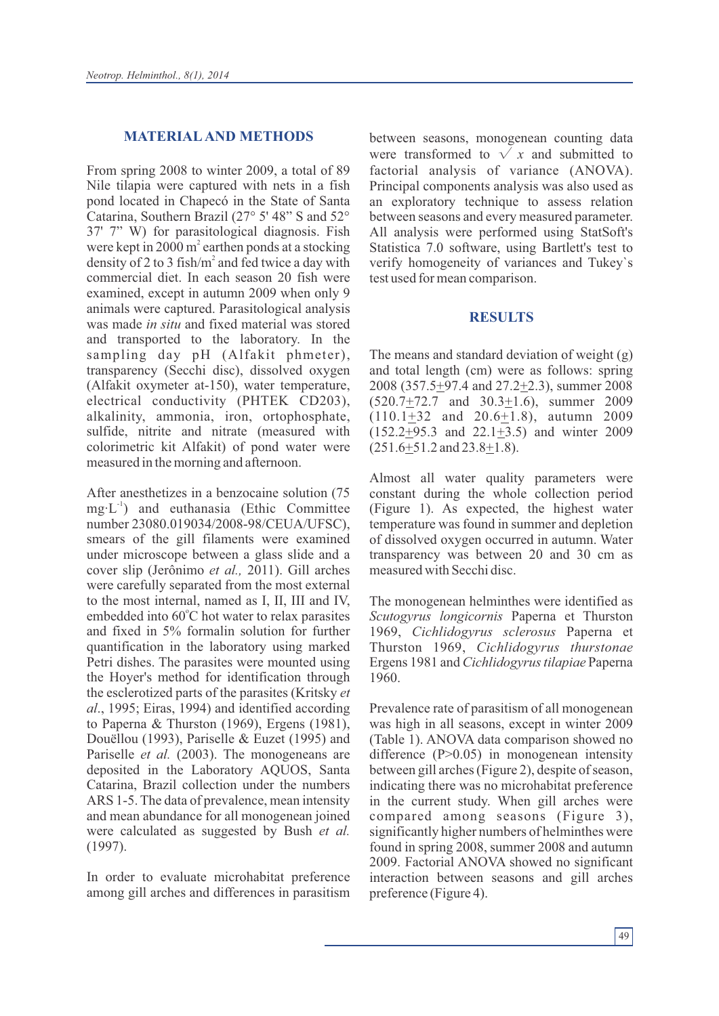#### **MATERIALAND METHODS**

From spring 2008 to winter 2009, a total of 89 Nile tilapia were captured with nets in a fish pond located in Chapecó in the State of Santa Catarina, Southern Brazil (27° 5' 48" S and 52° 37' 7" W) for parasitological diagnosis. Fish were kept in  $2000 \text{ m}^2$  earthen ponds at a stocking density of 2 to 3 fish/ $m<sup>2</sup>$  and fed twice a day with commercial diet. In each season 20 fish were examined, except in autumn 2009 when only 9 animals were captured. Parasitological analysis was made *in situ* and fixed material was stored and transported to the laboratory. In the sampling day pH (Alfakit phmeter), transparency (Secchi disc), dissolved oxygen (Alfakit oxymeter at-150), water temperature, electrical conductivity (PHTEK CD203), alkalinity, ammonia, iron, ortophosphate, sulfide, nitrite and nitrate (measured with colorimetric kit Alfakit) of pond water were measured in the morning and afternoon.

After anesthetizes in a benzocaine solution (75  $mg\cdot L^{-1}$ ) and euthanasia (Ethic Committee number 23080.019034/2008-98/CEUA/UFSC), smears of the gill filaments were examined under microscope between a glass slide and a cover slip (Jerônimo *et al.,* 2011). Gill arches were carefully separated from the most external to the most internal, named as I, II, III and IV, embedded into 60°C hot water to relax parasites and fixed in 5% formalin solution for further quantification in the laboratory using marked Petri dishes. The parasites were mounted using the Hoyer's method for identification through the esclerotized parts of the parasites (Kritsky *et al*., 1995; Eiras, 1994) and identified according to Paperna & Thurston (1969), Ergens (1981), Douëllou (1993), Pariselle & Euzet (1995) and Pariselle *et al.* (2003). The monogeneans are deposited in the Laboratory AQUOS, Santa Catarina, Brazil collection under the numbers ARS 1-5. The data of prevalence, mean intensity and mean abundance for all monogenean joined were calculated as suggested by Bush *et al.* (1997).

In order to evaluate microhabitat preference among gill arches and differences in parasitism between seasons, monogenean counting data were transformed to  $\sqrt{x}$  and submitted to factorial analysis of variance (ANOVA). Principal components analysis was also used as an exploratory technique to assess relation between seasons and every measured parameter. All analysis were performed using StatSoft's Statistica 7.0 software, using Bartlett's test to verify homogeneity of variances and Tukey`s test used for mean comparison.

#### **RESULTS**

The means and standard deviation of weight (g) and total length (cm) were as follows: spring 2008 (357.5+97.4 and 27.2+2.3), summer 2008  $(520.7 \pm 72.7$  and  $30.3 \pm 1.6)$ , summer 2009 (110.1+32 and 20.6+1.8), autumn 2009 (152.2+95.3 and 22.1+3.5) and winter 2009 (251.6+51.2 and 23.8+1.8).

Almost all water quality parameters were constant during the whole collection period (Figure 1). As expected, the highest water temperature was found in summer and depletion of dissolved oxygen occurred in autumn. Water transparency was between 20 and 30 cm as measured with Secchi disc.

The monogenean helminthes were identified as *Scutogyrus longicornis* Paperna et Thurston 1969, *Cichlidogyrus sclerosus* Paperna et Thurston 1969, *Cichlidogyrus thurstonae* Ergens 1981 and *Cichlidogyrustilapiae* Paperna 1960.

Prevalence rate of parasitism of all monogenean was high in all seasons, except in winter 2009 (Table 1). ANOVA data comparison showed no difference (P>0.05) in monogenean intensity between gill arches (Figure 2), despite of season, indicating there was no microhabitat preference in the current study. When gill arches were compared among seasons (Figure 3), significantly higher numbers of helminthes were found in spring 2008, summer 2008 and autumn 2009. Factorial ANOVA showed no significant interaction between seasons and gill arches preference (Figure 4).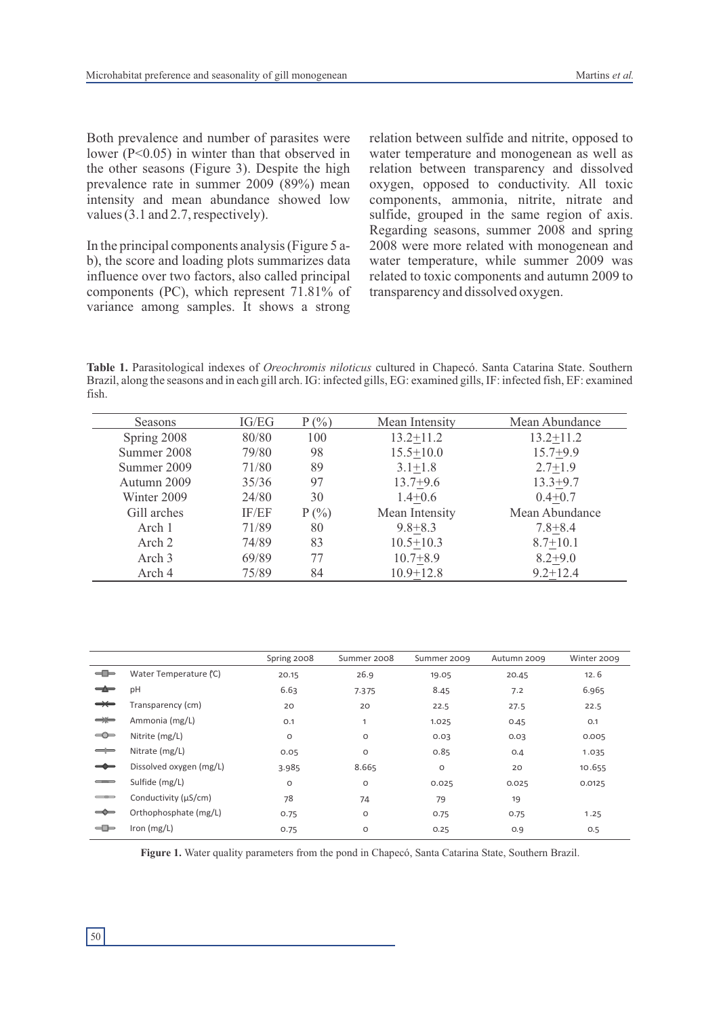Both prevalence and number of parasites were lower (P<0.05) in winter than that observed in the other seasons (Figure 3). Despite the high prevalence rate in summer 2009 (89%) mean intensity and mean abundance showed low values (3.1 and 2.7, respectively).

In the principal components analysis (Figure 5 ab), the score and loading plots summarizes data influence over two factors, also called principal components (PC), which represent 71.81% of variance among samples. It shows a strong

relation between sulfide and nitrite, opposed to water temperature and monogenean as well as relation between transparency and dissolved oxygen, opposed to conductivity. All toxic components, ammonia, nitrite, nitrate and sulfide, grouped in the same region of axis. Regarding seasons, summer 2008 and spring 2008 were more related with monogenean and water temperature, while summer 2009 was related to toxic components and autumn 2009 to transparency and dissolved oxygen.

**Table 1.** Parasitological indexes of *Oreochromis niloticus* cultured in Chapecó. Santa Catarina State. Southern Brazil, along the seasons and in each gill arch. IG: infected gills, EG: examined gills, IF: infected fish, EF: examined fish.

| Seasons           | IG/EG | $P(\%)$  | Mean Intensity | Mean Abundance |  |
|-------------------|-------|----------|----------------|----------------|--|
| Spring 2008       | 80/80 | 100      | $13.2 + 11.2$  | $13.2 + 11.2$  |  |
| Summer 2008       | 79/80 | 98       | $15.5 + 10.0$  | $15.7 + 9.9$   |  |
| Summer 2009       | 71/80 | 89       | $3.1 + 1.8$    | $2.7 + 1.9$    |  |
| Autumn 2009       | 35/36 | 97       | $13.7 + 9.6$   | $13.3 + 9.7$   |  |
| Winter 2009       | 24/80 | 30       | $1.4 + 0.6$    | $0.4 + 0.7$    |  |
| Gill arches       | IF/EF | $P(\% )$ | Mean Intensity | Mean Abundance |  |
| Arch 1            | 71/89 | 80       | $9.8 + 8.3$    | $7.8 + 8.4$    |  |
| Arch 2            | 74/89 | 83       | $10.5 + 10.3$  | $8.7 + 10.1$   |  |
| Arch <sub>3</sub> | 69/89 | 77       | $10.7 + 8.9$   | $8.2 + 9.0$    |  |
| Arch 4            | 75/89 | 84       | $10.9 + 12.8$  | $9.2 + 12.4$   |  |

|                                                                                                                                                                                                                                                                                                                                                                                          |                         | Spring 2008 | Summer 2008 | Summer 2009 | Autumn 2009 | Winter 2009 |
|------------------------------------------------------------------------------------------------------------------------------------------------------------------------------------------------------------------------------------------------------------------------------------------------------------------------------------------------------------------------------------------|-------------------------|-------------|-------------|-------------|-------------|-------------|
| $\leftarrow$                                                                                                                                                                                                                                                                                                                                                                             | Water Temperature (°C)  | 20.15       | 26.9        | 19.05       | 20.45       | 12.6        |
| $\frac{1}{\sqrt{2}}\frac{M_{\rm H}}{M_{\rm H}}\frac{M_{\rm H}}{M_{\rm H}}\frac{M_{\rm H}}{M_{\rm H}}\frac{M_{\rm H}}{M_{\rm H}}\frac{M_{\rm H}}{M_{\rm H}}\frac{M_{\rm H}}{M_{\rm H}}\frac{M_{\rm H}}{M_{\rm H}}\frac{M_{\rm H}}{M_{\rm H}}\frac{M_{\rm H}}{M_{\rm H}}\frac{M_{\rm H}}{M_{\rm H}}\frac{M_{\rm H}}{M_{\rm H}}\frac{M_{\rm H}}{M_{\rm H}}\frac{M_{\rm H}}{M_{\rm H}}\frac$ | pH                      | 6.63        | 7.375       | 8.45        | 7.2         | 6.965       |
| $\rightarrow$                                                                                                                                                                                                                                                                                                                                                                            | Transparency (cm)       | 20          | 20          | 22.5        | 27.5        | 22.5        |
| $\Rightarrow$                                                                                                                                                                                                                                                                                                                                                                            | Ammonia (mg/L)          | O.1         |             | 1.025       | 0.45        | O.1         |
| S                                                                                                                                                                                                                                                                                                                                                                                        | Nitrite (mg/L)          | $\circ$     | O           | 0.03        | 0.03        | 0.005       |
| $\implies$                                                                                                                                                                                                                                                                                                                                                                               | Nitrate (mg/L)          | 0.05        | O           | 0.85        | O.4         | 1.035       |
| $\rightarrow$                                                                                                                                                                                                                                                                                                                                                                            | Dissolved oxygen (mg/L) | 3.985       | 8.665       | $\circ$     | 20          | 10.655      |
| $\sim$                                                                                                                                                                                                                                                                                                                                                                                   | Sulfide (mg/L)          | O           | $\circ$     | 0.025       | 0.025       | 0.0125      |
| $\longrightarrow$                                                                                                                                                                                                                                                                                                                                                                        | Conductivity (µS/cm)    | 78          | 74          | 79          | 19          |             |
| $\Rightarrow$                                                                                                                                                                                                                                                                                                                                                                            | Orthophosphate (mg/L)   | 0.75        | O           | 0.75        | 0.75        | 1.25        |
| $\equiv$                                                                                                                                                                                                                                                                                                                                                                                 | Iron $(mg/L)$           | 0.75        | O           | 0.25        | 0.9         | O.5         |

**Figure 1.** Water quality parameters from the pond in Chapecó, Santa Catarina State, Southern Brazil.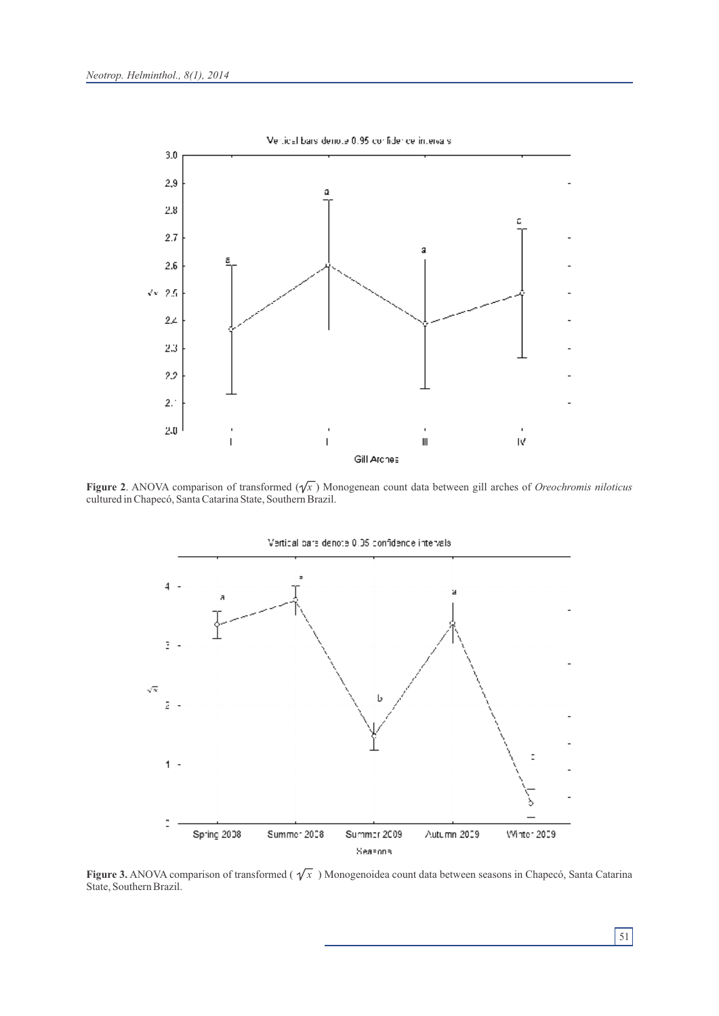

**Figure 2.** ANOVA comparison of transformed  $(\gamma x)$  Monogenean count data between gill arches of *Oreochromis niloticus* cultured in Chapecó, Santa Catarina State, Southern Brazil.



**Figure 3.** ANOVA comparison of transformed ( $\sqrt{x}$ ) Monogenoidea count data between seasons in Chapecó, Santa Catarina State, Southern Brazil.

51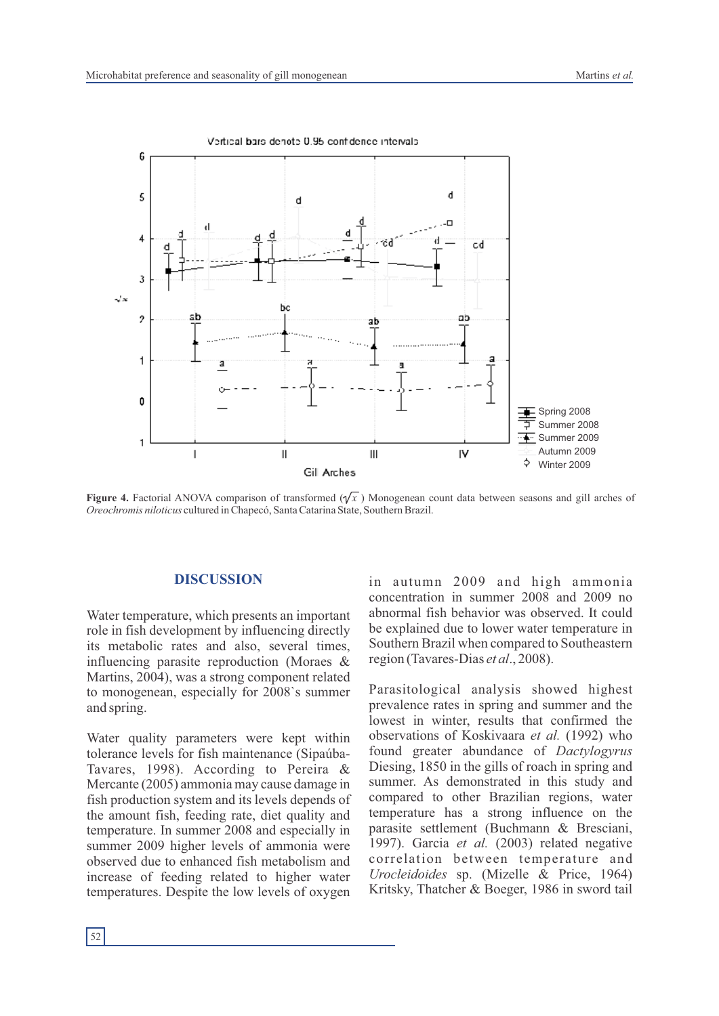

**Figure 4.** Factorial ANOVA comparison of transformed  $(\sqrt{x})$  Monogenean count data between seasons and gill arches of *Oreochromis niloticus* cultured in Chapecó, Santa Catarina State, Southern Brazil.

#### **DISCUSSION**

Water temperature, which presents an important role in fish development by influencing directly its metabolic rates and also, several times, influencing parasite reproduction (Moraes & Martins, 2004), was a strong component related to monogenean, especially for 2008`s summer and spring.

Water quality parameters were kept within tolerance levels for fish maintenance (Sipaúba-Tavares, 1998). According to Pereira & Mercante (2005) ammonia may cause damage in fish production system and its levels depends of the amount fish, feeding rate, diet quality and temperature. In summer 2008 and especially in summer 2009 higher levels of ammonia were observed due to enhanced fish metabolism and increase of feeding related to higher water temperatures. Despite the low levels of oxygen in autumn 2009 and high ammonia concentration in summer 2008 and 2009 no abnormal fish behavior was observed. It could be explained due to lower water temperature in Southern Brazil when compared to Southeastern region (Tavares-Dias *et al*., 2008).

Parasitological analysis showed highest prevalence rates in spring and summer and the lowest in winter, results that confirmed the observations of Koskivaara *et al.* (1992) who found greater abundance of *Dactylogyrus* Diesing, 1850 in the gills of roach in spring and summer. As demonstrated in this study and compared to other Brazilian regions, water temperature has a strong influence on the parasite settlement (Buchmann & Bresciani, 1997). Garcia *et al.* (2003) related negative correlation between temperature and *Urocleidoides* sp. (Mizelle & Price, 1964) Kritsky, Thatcher & Boeger, 1986 in sword tail

52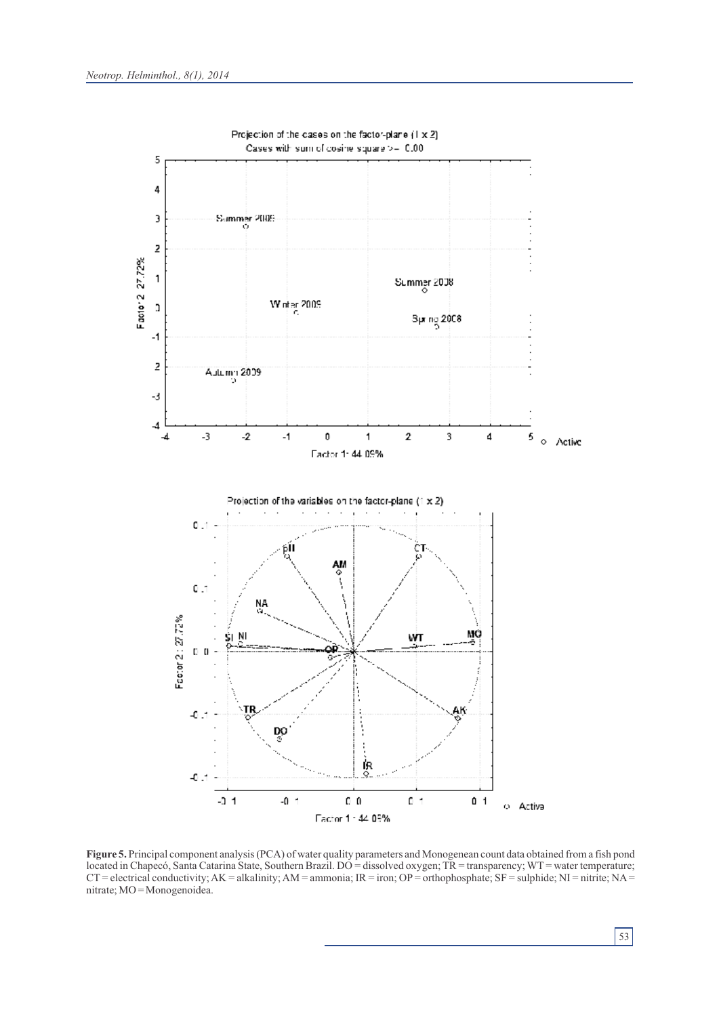

**Figure 5.** Principal component analysis (PCA) of water quality parameters and Monogenean count data obtained from a fish pond located in Chapecó, Santa Catarina State, Southern Brazil. DO = dissolved oxygen; TR = transparency; WT = water temperature;  $CT =$  electrical conductivity;  $AK =$  alkalinity;  $AM =$  ammonia;  $IR =$  iron;  $OP =$  orthophosphate;  $SF =$  sulphide;  $NI =$  nitrite;  $NA =$ nitrate; MO = Monogenoidea.

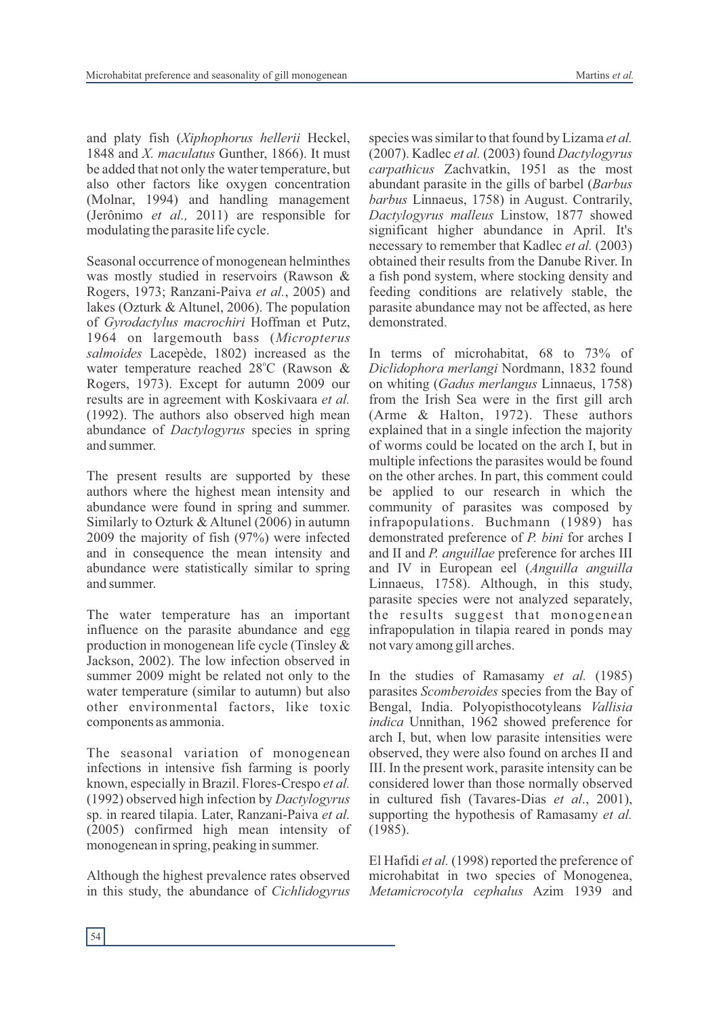and platy fish (*Xiphophorus hellerii* Heckel, 1848 and *X. maculatus* Gunther, 1866). It must be added that not only the water temperature, but also other factors like oxygen concentration (Molnar, 1994) and handling management (Jerônimo *et al.,* 2011) are responsible for modulating the parasite life cycle.

Seasonal occurrence of monogenean helminthes was mostly studied in reservoirs (Rawson & Rogers, 1973; Ranzani-Paiva *et al.*, 2005) and lakes (Ozturk & Altunel, 2006). The population of *Gyrodactylus macrochiri* Hoffman et Putz, 1964 on largemouth bass (*Micropterus salmoides* Lacepède, 1802) increased as the water temperature reached  $28^{\circ}$ C (Rawson & Rogers, 1973). Except for autumn 2009 our results are in agreement with Koskivaara *et al.* (1992). The authors also observed high mean abundance of *Dactylogyrus* species in spring and summer.

The present results are supported by these authors where the highest mean intensity and abundance were found in spring and summer. Similarly to Ozturk & Altunel (2006) in autumn 2009 the majority of fish (97%) were infected and in consequence the mean intensity and abundance were statistically similar to spring and summer.

The water temperature has an important influence on the parasite abundance and egg production in monogenean life cycle (Tinsley & Jackson, 2002). The low infection observed in summer 2009 might be related not only to the water temperature (similar to autumn) but also other environmental factors, like toxic components as ammonia.

The seasonal variation of monogenean infections in intensive fish farming is poorly known, especially in Brazil. Flores-Crespo *et al.* (1992) observed high infection by *Dactylogyrus* sp. in reared tilapia. Later, Ranzani-Paiva *et al.* (2005) confirmed high mean intensity of monogenean in spring, peaking in summer.

Although the highest prevalence rates observed in this study, the abundance of *Cichlidogyrus* species was similar to that found by Lizama *et al.* (2007). Kadlec *et al.* (2003) found *Dactylogyrus carpathicus* Zachvatkin, 1951 as the most abundant parasite in the gills of barbel (*Barbus barbus* Linnaeus, 1758) in August. Contrarily, *Dactylogyrus malleus* Linstow, 1877 showed significant higher abundance in April. It's necessary to remember that Kadlec *et al.* (2003) obtained their results from the Danube River. In a fish pond system, where stocking density and feeding conditions are relatively stable, the parasite abundance may not be affected, as here demonstrated.

In terms of microhabitat, 68 to 73% of *Diclidophora merlangi* Nordmann, 1832 found on whiting (*Gadus merlangus* Linnaeus, 1758) from the Irish Sea were in the first gill arch (Arme & Halton, 1972). These authors explained that in a single infection the majority of worms could be located on the arch I, but in multiple infections the parasites would be found on the other arches. In part, this comment could be applied to our research in which the community of parasites was composed by infrapopulations. Buchmann (1989) has demonstrated preference of *P. bini* for arches I and II and *P. anguillae* preference for arches III and IV in European eel (*Anguilla anguilla*  Linnaeus, 1758). Although, in this study, parasite species were not analyzed separately, the results suggest that monogenean infrapopulation in tilapia reared in ponds may not vary among gill arches.

In the studies of Ramasamy *et al.* (1985) parasites *Scomberoides* species from the Bay of Bengal, India. Polyopisthocotyleans *Vallisia indica* Unnithan, 1962 showed preference for arch I, but, when low parasite intensities were observed, they were also found on arches II and III. In the present work, parasite intensity can be considered lower than those normally observed in cultured fish (Tavares-Dias *et al*., 2001), supporting the hypothesis of Ramasamy *et al.* (1985).

El Hafidi *et al.* (1998) reported the preference of microhabitat in two species of Monogenea, *Metamicrocotyla cephalus* Azim 1939 and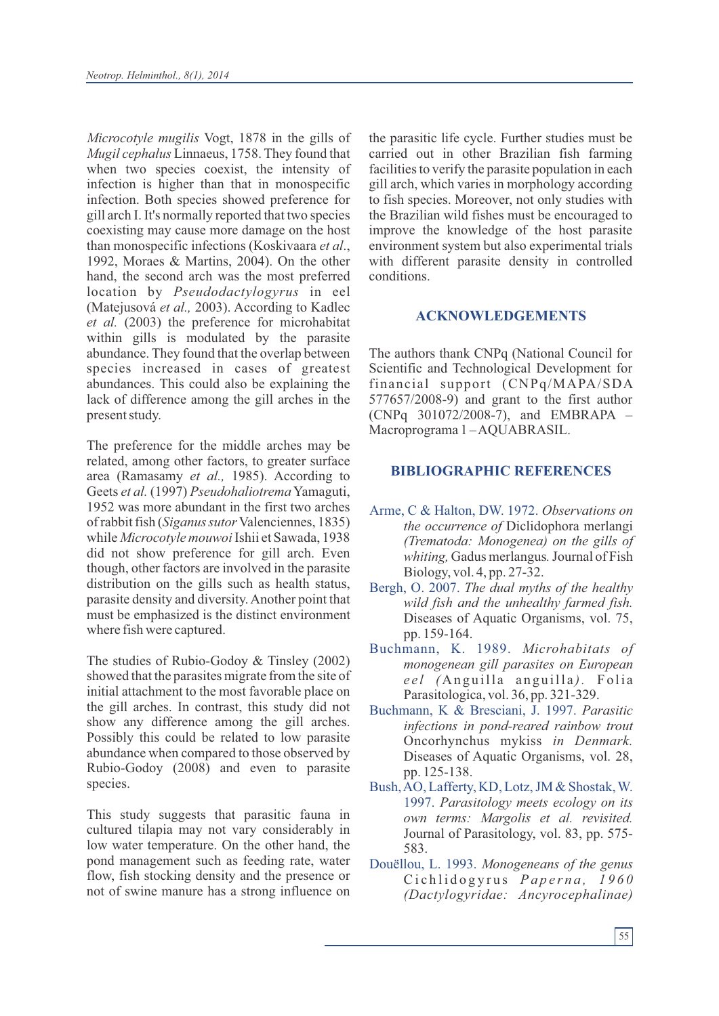*Microcotyle mugilis* Vogt, 1878 in the gills of *Mugil cephalus* Linnaeus, 1758. They found that when two species coexist, the intensity of infection is higher than that in monospecific infection. Both species showed preference for gill arch I. It's normally reported that two species coexisting may cause more damage on the host than monospecific infections (Koskivaara *et al*., 1992, Moraes & Martins, 2004). On the other hand, the second arch was the most preferred location by *Pseudodactylogyrus* in eel (Matejusová *et al.,* 2003). According to Kadlec *et al.* (2003) the preference for microhabitat within gills is modulated by the parasite abundance. They found that the overlap between species increased in cases of greatest abundances. This could also be explaining the lack of difference among the gill arches in the present study.

The preference for the middle arches may be related, among other factors, to greater surface area (Ramasamy *et al.,* 1985). According to Geets *et al.* (1997) *Pseudohaliotrema* Yamaguti, 1952 was more abundant in the first two arches of rabbit fish (*Siganus sutor*Valenciennes, 1835) while *Microcotyle mouwoi*Ishii et Sawada, 1938 did not show preference for gill arch. Even though, other factors are involved in the parasite distribution on the gills such as health status, parasite density and diversity. Another point that must be emphasized is the distinct environment where fish were captured.

The studies of Rubio-Godoy & Tinsley (2002) showed that the parasites migrate from the site of initial attachment to the most favorable place on the gill arches. In contrast, this study did not show any difference among the gill arches. Possibly this could be related to low parasite abundance when compared to those observed by Rubio-Godoy (2008) and even to parasite species.

This study suggests that parasitic fauna in cultured tilapia may not vary considerably in low water temperature. On the other hand, the pond management such as feeding rate, water flow, fish stocking density and the presence or not of swine manure has a strong influence on

the parasitic life cycle. Further studies must be carried out in other Brazilian fish farming facilities to verify the parasite population in each gill arch, which varies in morphology according to fish species. Moreover, not only studies with the Brazilian wild fishes must be encouraged to improve the knowledge of the host parasite environment system but also experimental trials with different parasite density in controlled conditions.

# **ACKNOWLEDGEMENTS**

The authors thank CNPq (National Council for Scientific and Technological Development for financial support (CNPq/MAPA/SDA 577657/2008-9) and grant to the first author (CNPq 301072/2008-7), and EMBRAPA – Macroprograma 1 – AQUABRASIL.

# **BIBLIOGRAPHIC REFERENCES**

- Arme, C & Halton, DW. 1972. *Observations on the occurrence of* Diclidophora merlangi *(Trematoda: Monogenea) on the gills of whiting,* Gadus merlangus*.*Journal of Fish Biology, vol. 4, pp. 27-32.
- Bergh, O. 2007. *The dual myths of the healthy wild fish and the unhealthy farmed fish.* Diseases of Aquatic Organisms, vol. 75, pp. 159-164.
- Buchmann, K. 1989. *Microhabitats of monogenean gill parasites on European eel* (Anguilla anguilla). Folia Parasitologica, vol. 36, pp. 321-329.
- Buchmann, K & Bresciani, J. 1997. *Parasitic infections in pond-reared rainbow trout*  Oncorhynchus mykiss *in Denmark.* Diseases of Aquatic Organisms, vol. 28, pp. 125-138.
- Bush, AO, Lafferty, KD, Lotz, JM & Shostak, W. 1997. *Parasitology meets ecology on its own terms: Margolis et al. revisited.* Journal of Parasitology, vol. 83, pp. 575- 583.
- Douëllou, L. 1993. *Monogeneans of the genus*  Ci c h l i d o g y r u s *Pa p e r n a , 1 9 6 0 (Dactylogyridae: Ancyrocephalinae)*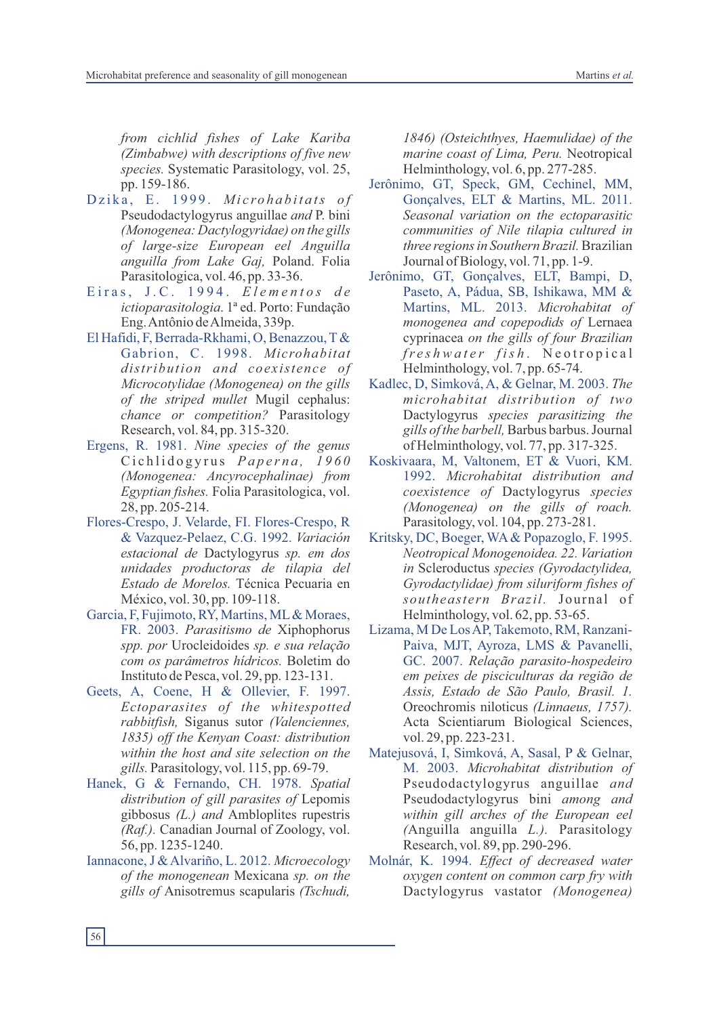*from cichlid fishes of Lake Kariba (Zimbabwe) with descriptions of five new species.* Systematic Parasitology, vol. 25, pp. 159-186.

- Dzika, E. 1999. Microhabitats of Pseudodactylogyrus anguillae *and* P. bini *(Monogenea: Dactylogyridae) on the gills of large-size European eel Anguilla anguilla from Lake Gaj,* Poland. Folia Parasitologica, vol. 46, pp. 33-36.
- E i r a s, J. C . 1 9 9 4 . *E l e m e n t o s d e ictioparasitologia*. 1ª ed. Porto: Fundação Eng. Antônio de Almeida, 339p.
- El Hafidi, F, Berrada-Rkhami, O, Benazzou, T& Gabrion, C. 1998. *Microhabitat distribution and coexistence of Microcotylidae (Monogenea) on the gills of the striped mullet* Mugil cephalus: *chance or competition?* Parasitology Research, vol. 84, pp. 315-320.
- Ergens, R. 1981. *Nine species of the genus*  Ci c h l i d o g y r u s *Pa p e r n a , 1 9 6 0 (Monogenea: Ancyrocephalinae) from Egyptian fishes.* Folia Parasitologica, vol. 28, pp. 205-214.
- Flores-Crespo, J. Velarde, FI. Flores-Crespo, R & Vazquez-Pelaez, C.G. 1992. *Variación estacional de* Dactylogyrus *sp. em dos unidades productoras de tilapia del Estado de Morelos.* Técnica Pecuaria en México, vol. 30, pp. 109-118.
- Garcia, F, Fujimoto, RY, Martins, ML& Moraes, FR. 2003. *Parasitismo de* Xiphophorus *spp. por* Urocleidoides *sp. e sua relação com os parâmetros hídricos.* Boletim do Instituto de Pesca, vol. 29, pp. 123-131.
- Geets, A, Coene, H & Ollevier, F. 1997. *Ectoparasites of the whitespotted rabbitfish,* Siganus sutor *(Valenciennes, 1835) off the Kenyan Coast: distribution within the host and site selection on the gills.* Parasitology, vol. 115, pp. 69-79.
- Hanek, G & Fernando, CH. 1978. *Spatial distribution of gill parasites of* Lepomis gibbosus *(L.) and* Ambloplites rupestris *(Raf.).* Canadian Journal of Zoology, vol. 56, pp. 1235-1240.
- Iannacone, J & Alvariño, L. 2012. *Microecology of the monogenean* Mexicana *sp. on the gills of* Anisotremus scapularis *(Tschudi,*

*1846) (Osteichthyes, Haemulidae) of the marine coast of Lima, Peru.* Neotropical Helminthology, vol. 6, pp. 277-285.

- Jerônimo, GT, Speck, GM, Cechinel, MM, Gonçalves, ELT & Martins, ML. 2011. *Seasonal variation on the ectoparasitic communities of Nile tilapia cultured in three regions in Southern Brazil.*Brazilian Journal of Biology, vol. 71, pp. 1-9.
- Jerônimo, GT, Gonçalves, ELT, Bampi, D, Paseto, A, Pádua, SB, Ishikawa, MM & Martins, ML. 2013. *Microhabitat of monogenea and copepodids of* Lernaea cyprinacea *on the gills of four Brazilian fr e s h w a t e r f is h* . N e o t r o p i c a l Helminthology, vol. 7, pp. 65-74.
- Kadlec, D, Simková, A, & Gelnar, M. 2003. *The microhabitat distribution of two* Dactylogyrus *species parasitizing the gills of the barbell,* Barbus barbus. Journal of Helminthology, vol. 77, pp. 317-325.
- Koskivaara, M, Valtonem, ET & Vuori, KM. 1992. *Microhabitat distribution and coexistence of* Dactylogyrus *species (Monogenea) on the gills of roach.* Parasitology, vol. 104, pp. 273-281.
- Kritsky, DC, Boeger, WA& Popazoglo, F. 1995. *Neotropical Monogenoidea. 22. Variation in* Scleroductus *species (Gyrodactylidea, Gyrodactylidae) from siluriform fishes of southeastern Brazil.* Journal of Helminthology, vol. 62, pp. 53-65.
- Lizama, M De Los AP, Takemoto, RM, Ranzani-Paiva, MJT, Ayroza, LMS & Pavanelli, GC. 2007. *Relação parasito-hospedeiro em peixes de pisciculturas da região de Assis, Estado de São Paulo, Brasil. 1.*  Oreochromis niloticus *(Linnaeus, 1757).*  Acta Scientiarum Biological Sciences, vol. 29, pp. 223-231.
- Matejusová, I, Simková, A, Sasal, P & Gelnar, M. 2003. *Microhabitat distribution of*  Pseudodactylogyrus anguillae *and* Pseudodactylogyrus bini *among and within gill arches of the European eel (*Anguilla anguilla *L.).* Parasitology Research, vol. 89, pp. 290-296.
- Molnár, K. 1994. *Effect of decreased water oxygen content on common carp fry with*  Dactylogyrus vastator *(Monogenea)*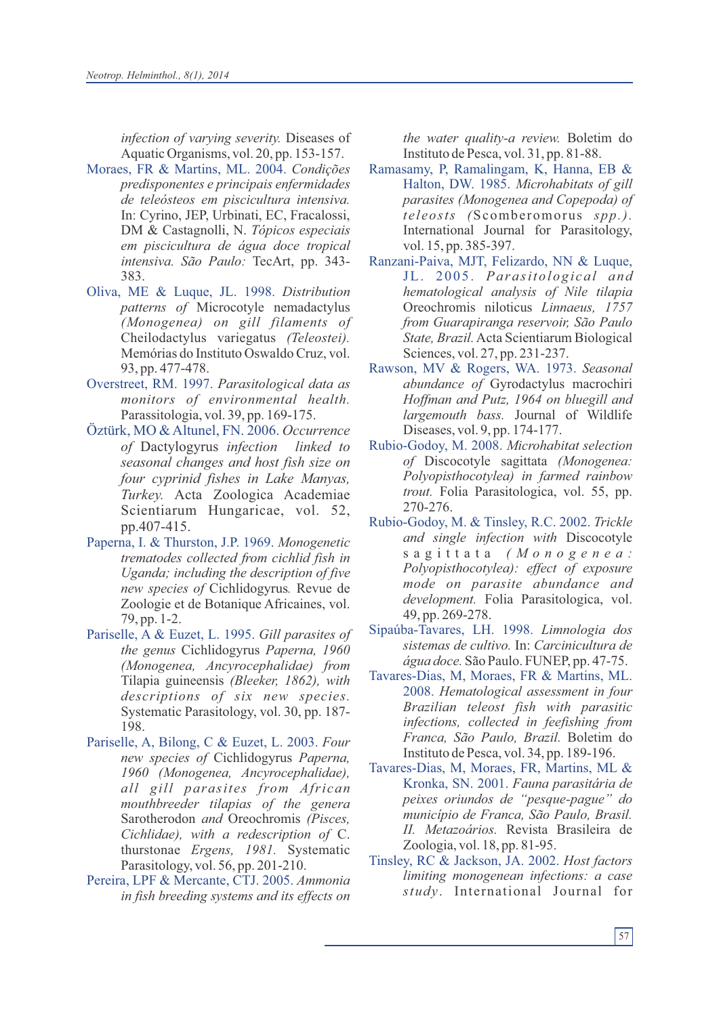*infection of varying severity.* Diseases of Aquatic Organisms, vol. 20, pp. 153-157.

- Moraes, FR & Martins, ML. 2004. *Condições predisponentes e principais enfermidades de teleósteos em piscicultura intensiva.* In: Cyrino, JEP, Urbinati, EC, Fracalossi, DM & Castagnolli, N. *Tópicos especiais em piscicultura de água doce tropical intensiva. São Paulo:* TecArt, pp. 343- 383.
- Oliva, ME & Luque, JL. 1998. *Distribution patterns of* Microcotyle nemadactylus *(Monogenea) on gill filaments of* Cheilodactylus variegatus *(Teleostei).* Memórias do Instituto Oswaldo Cruz, vol. 93, pp. 477-478.
- Overstreet, RM. 1997. *Parasitological data as monitors of environmental health.* Parassitologia, vol. 39, pp. 169-175.
- Öztürk, MO & Altunel, FN. 2006. *Occurrence of* Dactylogyrus *infection linked to seasonal changes and host fish size on four cyprinid fishes in Lake Manyas, Turkey.* Acta Zoologica Academiae Scientiarum Hungaricae, vol. 52, pp.407-415.
- Paperna, I. & Thurston, J.P. 1969. *Monogenetic trematodes collected from cichlid fish in Uganda; including the description of five new species of* Cichlidogyrus*.* Revue de Zoologie et de Botanique Africaines, vol. 79, pp. 1-2.
- Pariselle, A & Euzet, L. 1995. *Gill parasites of the genus* Cichlidogyrus *Paperna, 1960 (Monogenea, Ancyrocephalidae) from* Tilapia guineensis *(Bleeker, 1862), with descriptions of six new species.* Systematic Parasitology, vol. 30, pp. 187- 198.
- Pariselle, A, Bilong, C & Euzet, L. 2003. *Four new species of* Cichlidogyrus *Paperna, 1960 (Monogenea, Ancyrocephalidae), all gill parasites from African mouthbreeder tilapias of the genera* Sarotherodon *and* Oreochromis *(Pisces, Cichlidae), with a redescription of* C. thurstonae *Ergens, 1981.* Systematic Parasitology, vol. 56, pp. 201-210.
- Pereira, LPF & Mercante, CTJ. 2005. *Ammonia in fish breeding systems and its effects on*

*the water quality-a review.* Boletim do Instituto de Pesca, vol. 31, pp. 81-88.

- Ramasamy, P, Ramalingam, K, Hanna, EB & Halton, DW. 1985. *Microhabitats of gill parasites (Monogenea and Copepoda) of teleosts (*Scomberomorus *spp.).* International Journal for Parasitology, vol. 15, pp. 385-397.
- Ranzani-Paiva, MJT, Felizardo, NN & Luque, JL. 2005. Parasitological and *hematological analysis of Nile tilapia*  Oreochromis niloticus *Linnaeus, 1757 from Guarapiranga reservoir, São Paulo State, Brazil.*Acta Scientiarum Biological Sciences, vol. 27, pp. 231-237.
- Rawson, MV & Rogers, WA. 1973. *Seasonal abundance of* Gyrodactylus macrochiri *Hoffman and Putz, 1964 on bluegill and largemouth bass.* Journal of Wildlife Diseases, vol. 9, pp. 174-177.
- Rubio-Godoy, M. 2008. *Microhabitat selection of* Discocotyle sagittata *(Monogenea: Polyopisthocotylea) in farmed rainbow trout.* Folia Parasitologica, vol. 55, pp. 270-276.
- Rubio-Godoy, M. & Tinsley, R.C. 2002. *Trickle and single infection with* Discocotyle s a g i t t a t a *( M o n o g e n e a : Polyopisthocotylea): effect of exposure mode on parasite abundance and development.* Folia Parasitologica, vol. 49, pp. 269-278.
- Sipaúba-Tavares, LH. 1998. *Limnologia dos sistemas de cultivo.* In: *Carcinicultura de água doce.* São Paulo. FUNEP, pp. 47-75.
- Tavares-Dias, M, Moraes, FR & Martins, ML. 2008. *Hematological assessment in four Brazilian teleost fish with parasitic infections, collected in feefishing from Franca, São Paulo, Brazil.* Boletim do Instituto de Pesca, vol. 34, pp. 189-196.
- Tavares-Dias, M, Moraes, FR, Martins, ML & Kronka, SN. 2001. *Fauna parasitária de peixes oriundos de "pesque-pague" do município de Franca, São Paulo, Brasil. II. Metazoários.* Revista Brasileira de Zoologia, vol. 18, pp. 81-95.
- Tinsley, RC & Jackson, JA. 2002. *Host factors limiting monogenean infections: a case study*. International Journal for